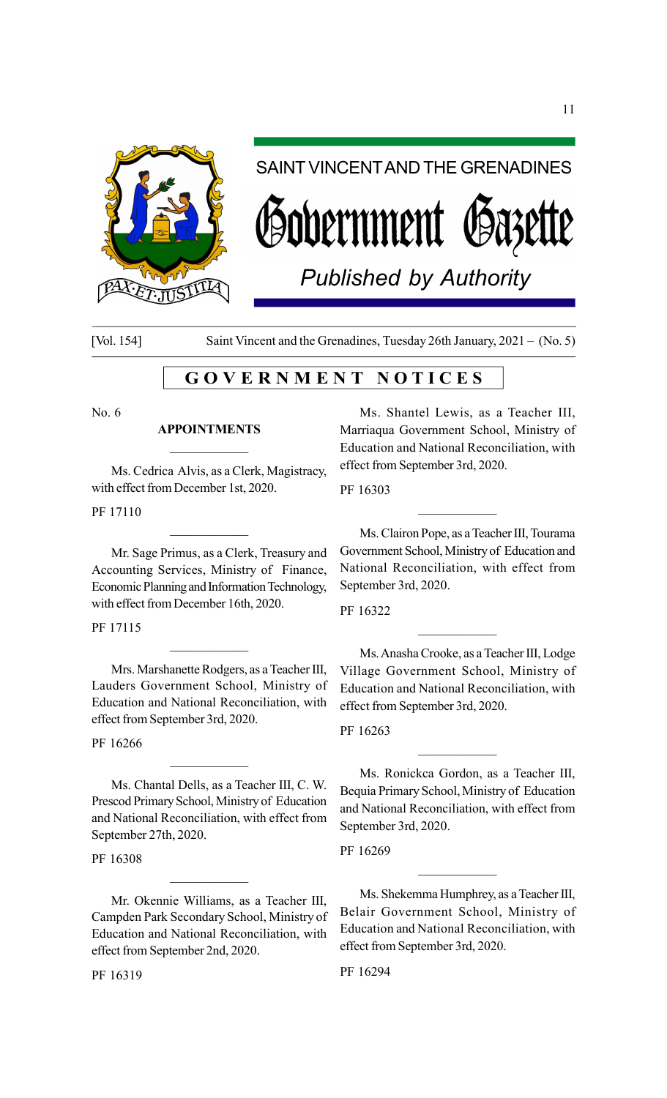

# SAINT VINCENT AND THE GRENADINES

vernment *(*19a3

*Published by Authority*

[Vol. 154] Saint Vincent and the Grenadines, Tuesday 26th January, 2021 – (No. 5)

# G O V E R N M E N T N O T I C E S

No. 6

#### APPOINTMENTS

Ms. Cedrica Alvis, as a Clerk, Magistracy, with effect from December 1st, 2020.

PF 17110

Mr. Sage Primus, as a Clerk, Treasury and Accounting Services, Ministry of Finance, Economic Planning and Information Technology, with effect from December 16th, 2020.

 $\mathcal{L}_\text{max}$ 

PF 17115

Mrs. Marshanette Rodgers, as a Teacher III, Lauders Government School, Ministry of Education and National Reconciliation, with effect from September 3rd, 2020.

 $\mathcal{L}_\text{max}$ 

PF 16266

Ms. Chantal Dells, as a Teacher III, C. W. Prescod Primary School, Ministry of Education and National Reconciliation, with effect from September 27th, 2020.

 $\mathcal{L}_\text{max}$ 

#### PF 16308

Mr. Okennie Williams, as a Teacher III, Campden Park Secondary School, Ministry of Education and National Reconciliation, with effect from September 2nd, 2020.

PF 16319

Ms. Shantel Lewis, as a Teacher III, Marriaqua Government School, Ministry of Education and National Reconciliation, with effect from September 3rd, 2020.

PF 16303

Ms. Clairon Pope, as a Teacher III, Tourama Government School, Ministry of Education and National Reconciliation, with effect from September 3rd, 2020.

 $\mathcal{L}_\text{max}$ 

PF 16322

Ms. Anasha Crooke, as a Teacher III, Lodge Village Government School, Ministry of Education and National Reconciliation, with effect from September 3rd, 2020.

 $\overline{\phantom{a}}$  . The set of the set of the set of the set of the set of the set of the set of the set of the set of the set of the set of the set of the set of the set of the set of the set of the set of the set of the set o

PF 16263

Ms. Ronickca Gordon, as a Teacher III, Bequia Primary School, Ministry of Education and National Reconciliation, with effect from September 3rd, 2020.

 $\mathcal{L}_\text{max}$ 

PF 16269

Ms. Shekemma Humphrey, as a Teacher III, Belair Government School, Ministry of Education and National Reconciliation, with effect from September 3rd, 2020.

PF 16294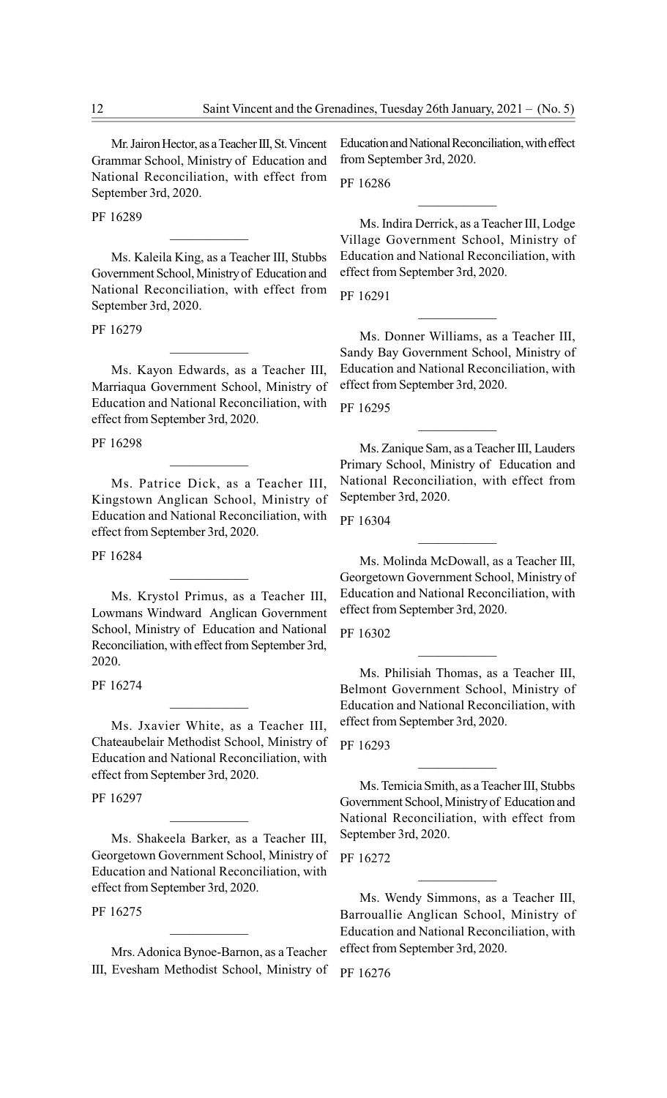Mr. Jairon Hector, as a Teacher III, St. Vincent Grammar School, Ministry of Education and National Reconciliation, with effect from September 3rd, 2020.

PF 16289

Ms. Kaleila King, as a Teacher III, Stubbs Government School, Ministry of Education and National Reconciliation, with effect from September 3rd, 2020.

 $\mathcal{L}_\text{max}$ 

PF 16279

Ms. Kayon Edwards, as a Teacher III, Marriaqua Government School, Ministry of Education and National Reconciliation, with effect from September 3rd, 2020.

 $\mathcal{L}_\text{max}$ 

PF 16298

Ms. Patrice Dick, as a Teacher III, Kingstown Anglican School, Ministry of Education and National Reconciliation, with effect from September 3rd, 2020.

PF 16284

Ms. Krystol Primus, as a Teacher III, Lowmans Windward Anglican Government School, Ministry of Education and National Reconciliation, with effect from September 3rd, 2020.

 $\mathcal{L}_\text{max}$ 

PF 16274

Ms. Jxavier White, as a Teacher III, Chateaubelair Methodist School, Ministry of Education and National Reconciliation, with effect from September 3rd, 2020.

 $\mathcal{L}_\text{max}$ 

PF 16297

Ms. Shakeela Barker, as a Teacher III, Georgetown Government School, Ministry of Education and National Reconciliation, with effect from September 3rd, 2020.

 $\overline{\phantom{a}}$  . The set of the set of the set of the set of the set of the set of the set of the set of the set of the set of the set of the set of the set of the set of the set of the set of the set of the set of the set o

PF 16275

Mrs. Adonica Bynoe-Barnon, as a Teacher III, Evesham Methodist School, Ministry of

 $\mathcal{L}_\text{max}$ 

Education and National Reconciliation, with effect from September 3rd, 2020.

PF 16286

Ms. Indira Derrick, as a Teacher III, Lodge Village Government School, Ministry of Education and National Reconciliation, with effect from September 3rd, 2020.

 $\mathcal{L}_\text{max}$ 

PF 16291

Ms. Donner Williams, as a Teacher III, Sandy Bay Government School, Ministry of Education and National Reconciliation, with effect from September 3rd, 2020.

 $\mathcal{L}_\text{max}$ 

PF 16295

Ms. Zanique Sam, as a Teacher III, Lauders Primary School, Ministry of Education and National Reconciliation, with effect from September 3rd, 2020.

 $\mathcal{L}_\text{max}$ 

PF 16304

Ms. Molinda McDowall, as a Teacher III, Georgetown Government School, Ministry of Education and National Reconciliation, with effect from September 3rd, 2020.

PF 16302

Ms. Philisiah Thomas, as a Teacher III, Belmont Government School, Ministry of Education and National Reconciliation, with effect from September 3rd, 2020.

 $\mathcal{L}_\text{max}$ 

PF 16293

Ms. Temicia Smith, as a Teacher III, Stubbs Government School, Ministry of Education and National Reconciliation, with effect from September 3rd, 2020.

 $\mathcal{L}_\text{max}$ 

PF 16272

Ms. Wendy Simmons, as a Teacher III, Barrouallie Anglican School, Ministry of Education and National Reconciliation, with effect from September 3rd, 2020.

 $\mathcal{L}_\text{max}$ 

PF 16276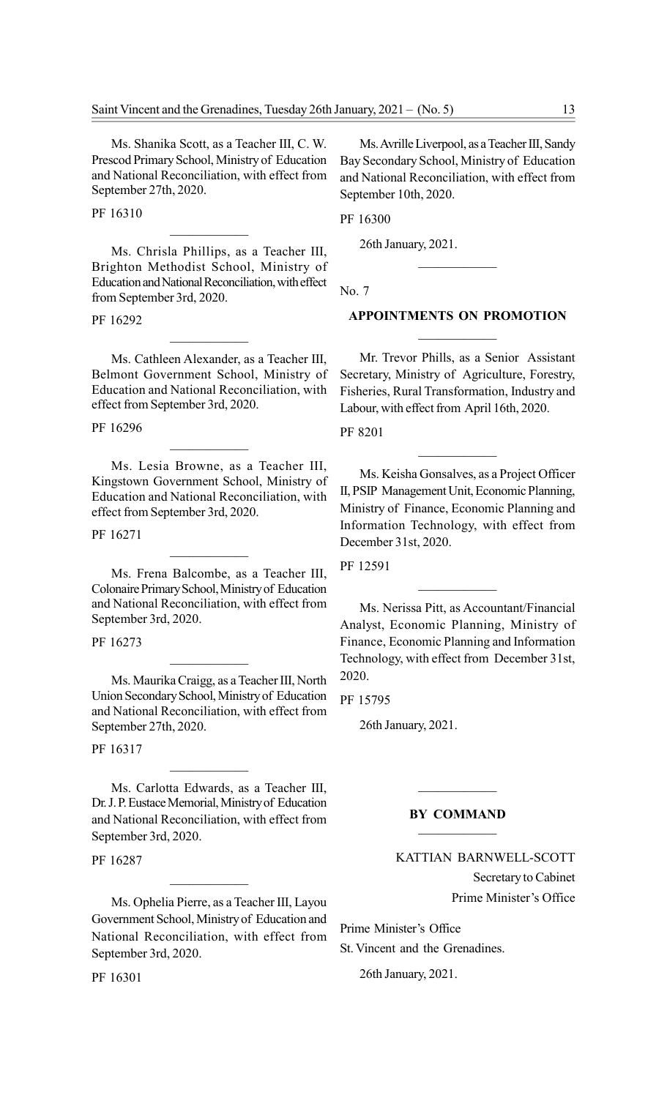Ms. Shanika Scott, as a Teacher III, C. W. Prescod Primary School, Ministry of Education and National Reconciliation, with effect from September 27th, 2020.

PF 16310

Ms. Chrisla Phillips, as a Teacher III, Brighton Methodist School, Ministry of Education and National Reconciliation, with effect from September 3rd, 2020.

 $\mathcal{L}_\text{max}$ 

PF 16292

Ms. Cathleen Alexander, as a Teacher III, Belmont Government School, Ministry of Education and National Reconciliation, with effect from September 3rd, 2020.

 $\mathcal{L}_\text{max}$ 

PF 16296

Ms. Lesia Browne, as a Teacher III, Kingstown Government School, Ministry of Education and National Reconciliation, with effect from September 3rd, 2020.

PF 16271

Ms. Frena Balcombe, as a Teacher III, Colonaire Primary School, Ministry of Education and National Reconciliation, with effect from September 3rd, 2020.

 $\mathcal{L}_\text{max}$ 

PF 16273

Ms. Maurika Craigg, as a Teacher III, North Union Secondary School, Ministry of Education and National Reconciliation, with effect from September 27th, 2020.

 $\mathcal{L}_\text{max}$ 

PF 16317

Ms. Carlotta Edwards, as a Teacher III, Dr. J. P. Eustace Memorial, Ministry of Education and National Reconciliation, with effect from September 3rd, 2020.

 $\mathcal{L}_\text{max}$ 

PF 16287

Ms. Ophelia Pierre, as a Teacher III, Layou Government School, Ministry of Education and National Reconciliation, with effect from September 3rd, 2020.

PF 16301

Ms. Avrille Liverpool, as a Teacher III, Sandy Bay Secondary School, Ministry of Education and National Reconciliation, with effect from September 10th, 2020.

PF 16300

26th January, 2021.

No. 7

# APPOINTMENTS ON PROMOTION  $\mathcal{L}_\text{max}$

 $\mathcal{L}_\text{max}$ 

Mr. Trevor Phills, as a Senior Assistant Secretary, Ministry of Agriculture, Forestry, Fisheries, Rural Transformation, Industry and Labour, with effect from April 16th, 2020.

PF 8201

Ms. Keisha Gonsalves, as a Project Officer II, PSIP Management Unit, Economic Planning, Ministry of Finance, Economic Planning and Information Technology, with effect from December 31st, 2020.

PF 12591

Ms. Nerissa Pitt, as Accountant/Financial Analyst, Economic Planning, Ministry of Finance, Economic Planning and Information Technology, with effect from December 31st, 2020.

PF 15795

26th January, 2021.

#### BY COMMAND

 $\mathcal{L}_\text{max}$ 

# KATTIAN BARNWELL-SCOTT Secretary to Cabinet Prime Minister's Office

Prime Minister's Office

St. Vincent and the Grenadines.

26th January, 2021.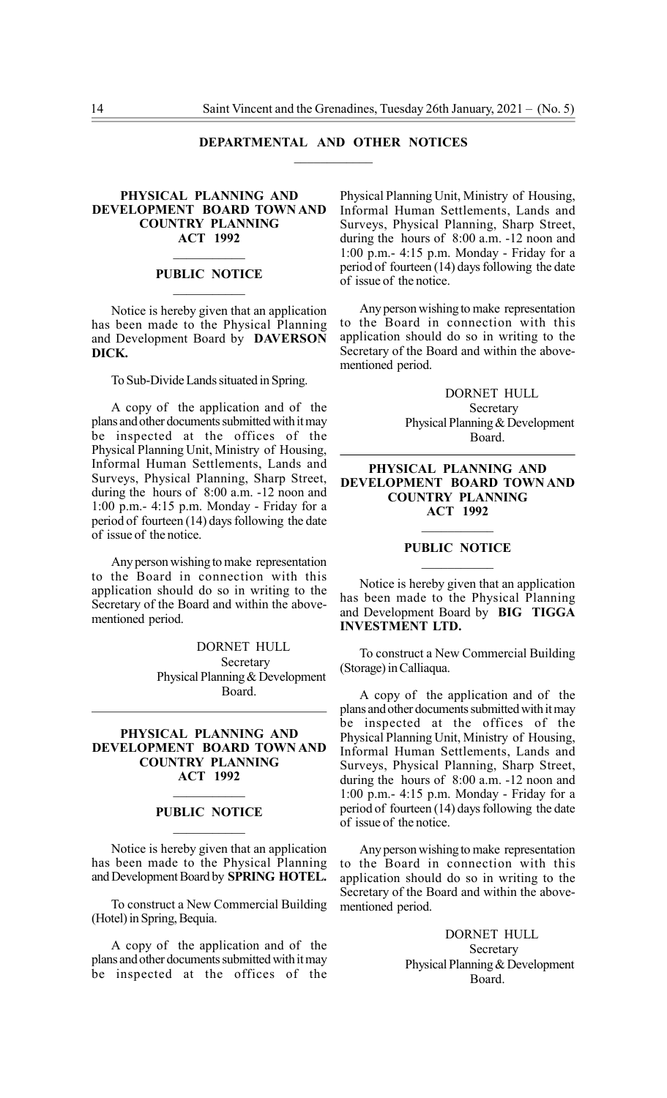#### DEPARTMENTAL AND OTHER NOTICES

#### PHYSICAL PLANNING AND DEVELOPMENT BOARD TOWN AND COUNTRY PLANNING ACT 1992

#### PUBLIC NOTICE  $\overline{\phantom{a}}$

 $\mathcal{L}_\text{max}$ 

Notice is hereby given that an application has been made to the Physical Planning and Development Board by DAVERSON DICK.

To Sub-Divide Lands situated in Spring.

A copy of the application and of the plans and other documents submitted with it may be inspected at the offices of the Physical Planning Unit, Ministry of Housing, Informal Human Settlements, Lands and Surveys, Physical Planning, Sharp Street, during the hours of 8:00 a.m. -12 noon and 1:00 p.m.- 4:15 p.m. Monday - Friday for a period of fourteen (14) days following the date of issue of the notice.

Any person wishing to make representation to the Board in connection with this application should do so in writing to the Secretary of the Board and within the abovementioned period.

> DORNET HULL Secretary Physical Planning & Development Board.

#### PHYSICAL PLANNING AND DEVELOPMENT BOARD TOWN AND COUNTRY PLANNING ACT 1992

# $\mathcal{L}_\text{max}$ PUBLIC NOTICE  $\mathcal{L}_\text{max}$

Notice is hereby given that an application has been made to the Physical Planning and Development Board by SPRING HOTEL.

To construct a New Commercial Building (Hotel) in Spring, Bequia.

A copy of the application and of the plans and other documents submitted with it may be inspected at the offices of the

Physical Planning Unit, Ministry of Housing, Informal Human Settlements, Lands and Surveys, Physical Planning, Sharp Street, during the hours of 8:00 a.m. -12 noon and 1:00 p.m.- 4:15 p.m. Monday - Friday for a period of fourteen (14) days following the date of issue of the notice.

Any person wishing to make representation to the Board in connection with this application should do so in writing to the Secretary of the Board and within the abovementioned period.

> DORNET HULL Secretary Physical Planning & Development Board.

#### PHYSICAL PLANNING AND DEVELOPMENT BOARD TOWN AND COUNTRY PLANNING ACT 1992

#### PUBLIC NOTICE  $\mathcal{L}_\text{max}$

Notice is hereby given that an application has been made to the Physical Planning and Development Board by BIG TIGGA INVESTMENT LTD.

To construct a New Commercial Building (Storage) in Calliaqua.

A copy of the application and of the plans and other documents submitted with it may be inspected at the offices of the Physical Planning Unit, Ministry of Housing, Informal Human Settlements, Lands and Surveys, Physical Planning, Sharp Street, during the hours of 8:00 a.m. -12 noon and 1:00 p.m.- 4:15 p.m. Monday - Friday for a period of fourteen (14) days following the date of issue of the notice.

Any person wishing to make representation to the Board in connection with this application should do so in writing to the Secretary of the Board and within the abovementioned period.

> DORNET HULL Secretary Physical Planning & Development Board.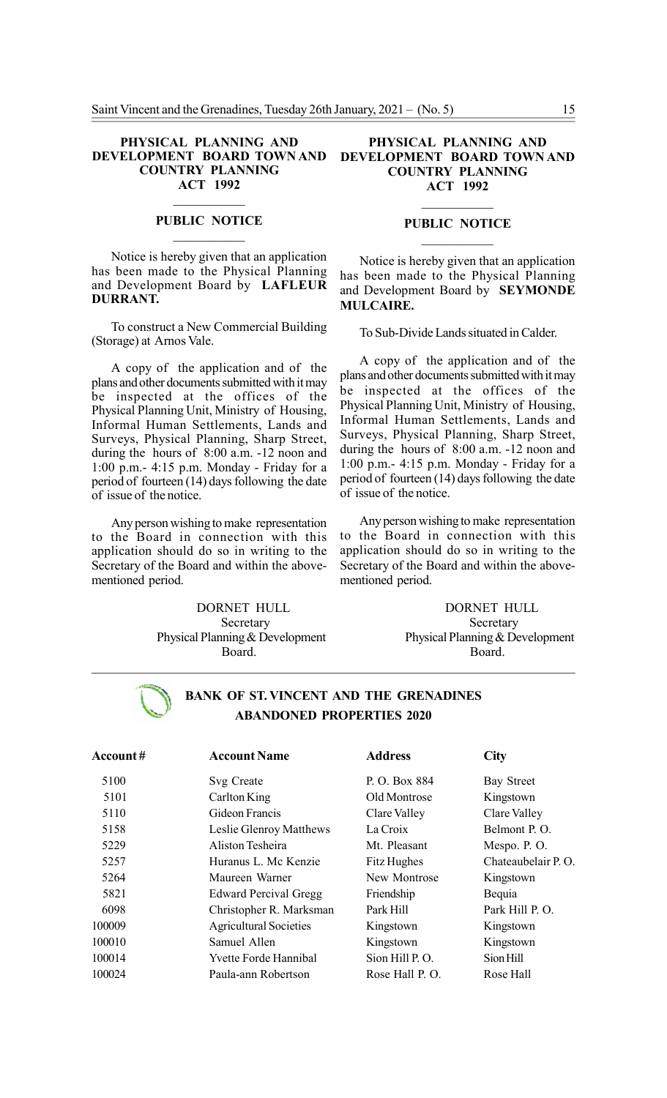#### PHYSICAL PLANNING AND DEVELOPMENT BOARD TOWN AND COUNTRY PLANNING ACT 1992

#### PUBLIC NOTICE  $\mathcal{L}_\text{max}$

Notice is hereby given that an application has been made to the Physical Planning and Development Board by LAFLEUR DURRANT.

To construct a New Commercial Building (Storage) at Arnos Vale.

A copy of the application and of the plans and other documents submitted with it may be inspected at the offices of the Physical Planning Unit, Ministry of Housing, Informal Human Settlements, Lands and Surveys, Physical Planning, Sharp Street, during the hours of 8:00 a.m. -12 noon and 1:00 p.m.- 4:15 p.m. Monday - Friday for a period of fourteen (14) days following the date of issue of the notice.

Any person wishing to make representation to the Board in connection with this application should do so in writing to the Secretary of the Board and within the abovementioned period.

> DORNET HULL Secretary Physical Planning & Development Board.

#### PHYSICAL PLANNING AND DEVELOPMENT BOARD TOWN AND COUNTRY PLANNING ACT 1992

# $\mathcal{L}_\text{max}$ PUBLIC NOTICE  $\mathcal{L}_\text{max}$

Notice is hereby given that an application has been made to the Physical Planning and Development Board by SEYMONDE MULCAIRE.

To Sub-Divide Lands situated in Calder.

A copy of the application and of the plans and other documents submitted with it may be inspected at the offices of the Physical Planning Unit, Ministry of Housing, Informal Human Settlements, Lands and Surveys, Physical Planning, Sharp Street, during the hours of 8:00 a.m. -12 noon and 1:00 p.m.- 4:15 p.m. Monday - Friday for a period of fourteen (14) days following the date of issue of the notice.

Any person wishing to make representation to the Board in connection with this application should do so in writing to the Secretary of the Board and within the abovementioned period.

> DORNET HULL Secretary Physical Planning & Development Board.

# BANK OF ST. VINCENT AND THE GRENADINES ABANDONED PROPERTIES 2020

| <b>Account#</b> | <b>Account Name</b>           | <b>Address</b> | <b>City</b>        |
|-----------------|-------------------------------|----------------|--------------------|
| 5100            | Svg Create                    | P. O. Box 884  | <b>Bay Street</b>  |
| 5101            | Carlton King                  | Old Montrose   | Kingstown          |
| 5110            | Gideon Francis                | Clare Valley   | Clare Valley       |
| 5158            | Leslie Glenroy Matthews       | La Croix       | Belmont P.O.       |
| 5229            | Aliston Tesheira              | Mt. Pleasant   | Mespo. P. O.       |
| 5257            | Huranus L. Mc Kenzie          | Fitz Hughes    | Chateaubelair P.O. |
| 5264            | Maureen Warner                | New Montrose   | Kingstown          |
| 5821            | <b>Edward Percival Gregg</b>  | Friendship     | Bequia             |
| 6098            | Christopher R. Marksman       | Park Hill      | Park Hill P.O.     |
| 100009          | <b>Agricultural Societies</b> | Kingstown      | Kingstown          |
| 100010          | Samuel Allen                  | Kingstown      | Kingstown          |
| 100014          | <b>Yvette Forde Hannibal</b>  | Sion Hill P.O. | Sion Hill          |
| 100024          | Paula-ann Robertson           | Rose Hall P.O. | Rose Hall          |
|                 |                               |                |                    |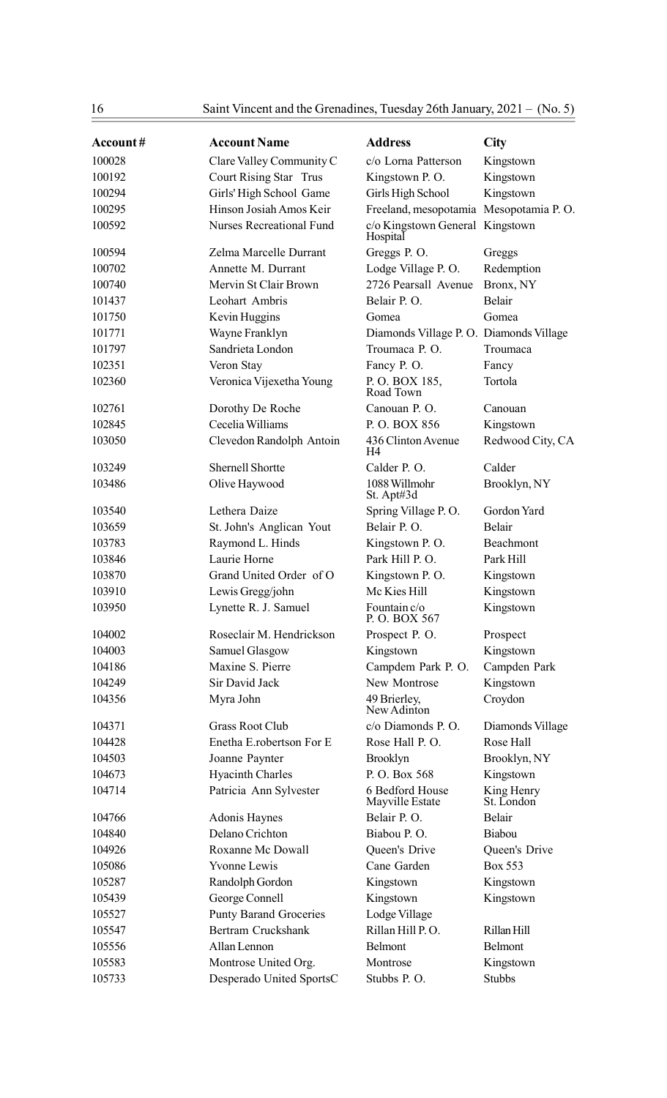| Account# | <b>Account Name</b>             | <b>Address</b>                              | City                     |
|----------|---------------------------------|---------------------------------------------|--------------------------|
| 100028   | Clare Valley Community C        | c/o Lorna Patterson                         | Kingstown                |
| 100192   | Court Rising Star Trus          | Kingstown P.O.                              | Kingstown                |
| 100294   | Girls' High School Game         | Girls High School                           | Kingstown                |
| 100295   | Hinson Josiah Amos Keir         | Freeland, mesopotamia Mesopotamia P.O.      |                          |
| 100592   | <b>Nurses Recreational Fund</b> | c/o Kingstown General Kingstown<br>Hospital |                          |
| 100594   | Zelma Marcelle Durrant          | Greggs P.O.                                 | Greggs                   |
| 100702   | Annette M. Durrant              | Lodge Village P.O.                          | Redemption               |
| 100740   | Mervin St Clair Brown           | 2726 Pearsall Avenue                        | Bronx, NY                |
| 101437   | Leohart Ambris                  | Belair P.O.                                 | Belair                   |
| 101750   | Kevin Huggins                   | Gomea                                       | Gomea                    |
| 101771   | Wayne Franklyn                  | Diamonds Village P. O. Diamonds Village     |                          |
| 101797   | Sandrieta London                | Troumaca P. O.                              | Troumaca                 |
| 102351   | Veron Stay                      | Fancy P.O.                                  | Fancy                    |
| 102360   | Veronica Vijexetha Young        | P.O. BOX 185,<br>Road Town                  | Tortola                  |
| 102761   | Dorothy De Roche                | Canouan P. O.                               | Canouan                  |
| 102845   | Cecelia Williams                | P.O. BOX 856                                | Kingstown                |
| 103050   | Clevedon Randolph Antoin        | 436 Clinton Avenue<br>H4                    | Redwood City, CA         |
| 103249   | <b>Shernell Shortte</b>         | Calder P.O.                                 | Calder                   |
| 103486   | Olive Haywood                   | 1088 Willmohr<br>St. Apt#3d                 | Brooklyn, NY             |
| 103540   | Lethera Daize                   | Spring Village P.O.                         | Gordon Yard              |
| 103659   | St. John's Anglican Yout        | Belair P.O.                                 | <b>Belair</b>            |
| 103783   | Raymond L. Hinds                | Kingstown P.O.                              | Beachmont                |
| 103846   | Laurie Horne                    | Park Hill P.O.                              | Park Hill                |
| 103870   | Grand United Order of O         | Kingstown P.O.                              | Kingstown                |
| 103910   | Lewis Gregg/john                | Mc Kies Hill                                | Kingstown                |
| 103950   | Lynette R. J. Samuel            | Fountain c/o<br>P.O. BOX 567                | Kingstown                |
| 104002   | Roseclair M. Hendrickson        | Prospect P. O.                              | Prospect                 |
| 104003   | Samuel Glasgow                  | Kingstown                                   | Kingstown                |
| 104186   | Maxine S. Pierre                | Campdem Park P. O.                          | Campden Park             |
| 104249   | Sir David Jack                  | New Montrose                                | Kingstown                |
| 104356   | Myra John                       | 49 Brierley,<br>New Adinton                 | Croydon                  |
| 104371   | <b>Grass Root Club</b>          | c/o Diamonds P.O.                           | Diamonds Village         |
| 104428   | Enetha E.robertson For E        | Rose Hall P.O.                              | Rose Hall                |
| 104503   | Joanne Paynter                  | <b>Brooklyn</b>                             | Brooklyn, NY             |
| 104673   | <b>Hyacinth Charles</b>         | P.O. Box 568                                | Kingstown                |
| 104714   | Patricia Ann Sylvester          | 6 Bedford House<br>Mayville Estate          | King Henry<br>St. London |
| 104766   | <b>Adonis Haynes</b>            | Belair P.O.                                 | Belair                   |
| 104840   | Delano Crichton                 | Biabou P.O.                                 | Biabou                   |
| 104926   | Roxanne Mc Dowall               | Queen's Drive                               | Queen's Drive            |
| 105086   | Yvonne Lewis                    | Cane Garden                                 | Box 553                  |
| 105287   | Randolph Gordon                 | Kingstown                                   | Kingstown                |
| 105439   | George Connell                  | Kingstown                                   | Kingstown                |
| 105527   | <b>Punty Barand Groceries</b>   | Lodge Village                               |                          |
| 105547   | Bertram Cruckshank              | Rillan Hill P.O.                            | Rillan Hill              |
| 105556   | Allan Lennon                    | Belmont                                     | Belmont                  |
| 105583   | Montrose United Org.            | Montrose                                    | Kingstown                |
| 105733   | Desperado United SportsC        | Stubbs P.O.                                 | <b>Stubbs</b>            |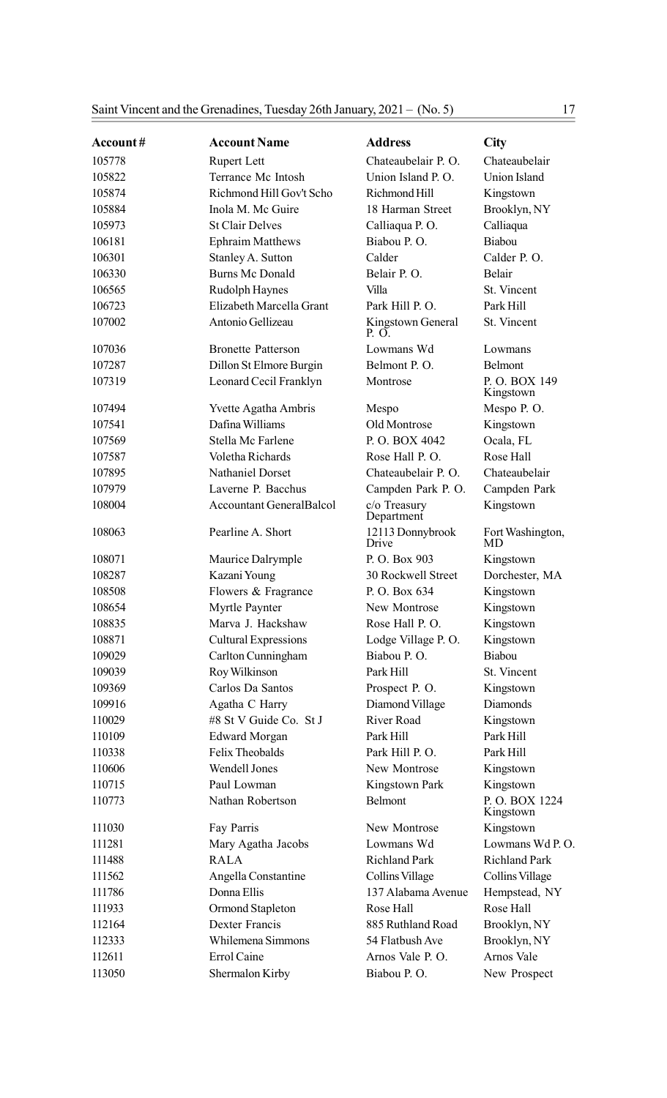| <b>Account#</b> | <b>Account Name</b>             | <b>Address</b>             | City                       |
|-----------------|---------------------------------|----------------------------|----------------------------|
| 105778          | <b>Rupert Lett</b>              | Chateaubelair P. O.        | Chateaubelair              |
| 105822          | Terrance Mc Intosh              | Union Island P.O.          | Union Island               |
| 105874          | Richmond Hill Gov't Scho        | Richmond Hill              | Kingstown                  |
| 105884          | Inola M. Mc Guire               | 18 Harman Street           | Brooklyn, NY               |
| 105973          | <b>St Clair Delves</b>          | Calliaqua P.O.             | Calliaqua                  |
| 106181          | <b>Ephraim Matthews</b>         | Biabou P.O.                | Biabou                     |
| 106301          | Stanley A. Sutton               | Calder                     | Calder P.O.                |
| 106330          | <b>Burns Mc Donald</b>          | Belair P.O.                | Belair                     |
| 106565          | Rudolph Haynes                  | Villa                      | St. Vincent                |
| 106723          | Elizabeth Marcella Grant        | Park Hill P.O.             | Park Hill                  |
| 107002          | Antonio Gellizeau               | Kingstown General<br>P. O. | St. Vincent                |
| 107036          | <b>Bronette Patterson</b>       | Lowmans Wd                 | Lowmans                    |
| 107287          | Dillon St Elmore Burgin         | Belmont P.O.               | <b>Belmont</b>             |
| 107319          | Leonard Cecil Franklyn          | Montrose                   | P.O. BOX 149<br>Kingstown  |
| 107494          | Yvette Agatha Ambris            | Mespo                      | Mespo P.O.                 |
| 107541          | Dafina Williams                 | Old Montrose               | Kingstown                  |
| 107569          | Stella Mc Farlene               | P.O. BOX 4042              | Ocala, FL                  |
| 107587          | Voletha Richards                | Rose Hall P.O.             | Rose Hall                  |
| 107895          | <b>Nathaniel Dorset</b>         | Chateaubelair P. O.        | Chateaubelair              |
| 107979          | Laverne P. Bacchus              | Campden Park P.O.          | Campden Park               |
| 108004          | <b>Accountant GeneralBalcol</b> | c/o Treasury<br>Department | Kingstown                  |
| 108063          | Pearline A. Short               | 12113 Donnybrook<br>Drive  | Fort Washington,<br>MD     |
| 108071          | Maurice Dalrymple               | P. O. Box 903              | Kingstown                  |
| 108287          | Kazani Young                    | 30 Rockwell Street         | Dorchester, MA             |
| 108508          | Flowers & Fragrance             | P. O. Box 634              | Kingstown                  |
| 108654          | Myrtle Paynter                  | New Montrose               | Kingstown                  |
| 108835          | Marva J. Hackshaw               | Rose Hall P.O.             | Kingstown                  |
| 108871          | <b>Cultural Expressions</b>     | Lodge Village P.O.         | Kingstown                  |
| 109029          | Carlton Cunningham              | Biabou P.O.                | Biabou                     |
| 109039          | Roy Wilkinson                   | Park Hill                  | St. Vincent                |
| 109369          | Carlos Da Santos                | Prospect P.O.              | Kingstown                  |
| 109916          | Agatha C Harry                  | Diamond Village            | <b>Diamonds</b>            |
| 110029          | #8 St V Guide Co. St J          | River Road                 | Kingstown                  |
| 110109          | <b>Edward Morgan</b>            | Park Hill                  | Park Hill                  |
| 110338          | Felix Theobalds                 | Park Hill P.O.             | Park Hill                  |
| 110606          | Wendell Jones                   | New Montrose               | Kingstown                  |
| 110715          | Paul Lowman                     | Kingstown Park             | Kingstown                  |
| 110773          | Nathan Robertson                | Belmont                    | P.O. BOX 1224<br>Kingstown |
| 111030          | Fay Parris                      | New Montrose               | Kingstown                  |
| 111281          | Mary Agatha Jacobs              | Lowmans Wd                 | Lowmans Wd P.O.            |
| 111488          | <b>RALA</b>                     | <b>Richland Park</b>       | <b>Richland Park</b>       |
| 111562          | Angella Constantine             | Collins Village            | Collins Village            |
| 111786          | Donna Ellis                     | 137 Alabama Avenue         | Hempstead, NY              |
| 111933          | Ormond Stapleton                | Rose Hall                  | Rose Hall                  |
| 112164          | <b>Dexter Francis</b>           | 885 Ruthland Road          | Brooklyn, NY               |
| 112333          | Whilemena Simmons               | 54 Flatbush Ave            | Brooklyn, NY               |
| 112611          | Errol Caine                     | Arnos Vale P.O.            | Arnos Vale                 |
| 113050          | Shermalon Kirby                 | Biabou P.O.                | New Prospect               |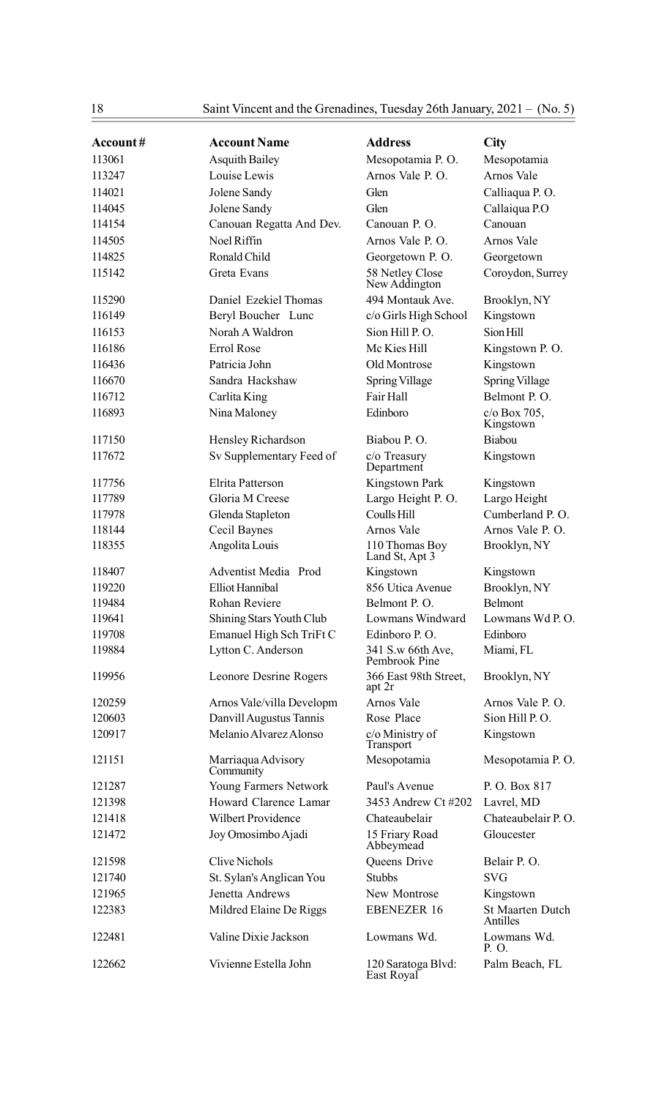18 Saint Vincent and the Grenadines, Tuesday 26th January, 2021 – (No. 5)

| Account# | <b>Account Name</b>             | <b>Address</b>                     | City                                |
|----------|---------------------------------|------------------------------------|-------------------------------------|
| 113061   | Asquith Bailey                  | Mesopotamia P.O.                   | Mesopotamia                         |
| 113247   | Louise Lewis                    | Arnos Vale P. O.                   | Arnos Vale                          |
| 114021   | Jolene Sandy                    | Glen                               | Calliaqua P.O.                      |
| 114045   | Jolene Sandy                    | Glen                               | Callaiqua P.O                       |
| 114154   | Canouan Regatta And Dev.        | Canouan P. O.                      | Canouan                             |
| 114505   | Noel Riffin                     | Arnos Vale P. O.                   | Arnos Vale                          |
| 114825   | Ronald Child                    | Georgetown P.O.                    | Georgetown                          |
| 115142   | Greta Evans                     | 58 Netley Close<br>New Addington   | Coroydon, Surrey                    |
| 115290   | Daniel Ezekiel Thomas           | 494 Montauk Ave.                   | Brooklyn, NY                        |
| 116149   | Beryl Boucher Lunc              | c/o Girls High School              | Kingstown                           |
| 116153   | Norah A Waldron                 | Sion Hill P.O.                     | Sion Hill                           |
| 116186   | Errol Rose                      | Mc Kies Hill                       | Kingstown P.O.                      |
| 116436   | Patricia John                   | Old Montrose                       | Kingstown                           |
| 116670   | Sandra Hackshaw                 | Spring Village                     | Spring Village                      |
| 116712   | Carlita King                    | Fair Hall                          | Belmont P.O.                        |
| 116893   | Nina Maloney                    | Edinboro                           | c/o Box 705,<br>Kingstown           |
| 117150   | Hensley Richardson              | Biabou P.O.                        | Biabou                              |
| 117672   | Sv Supplementary Feed of        | c/o Treasury<br>Department         | Kingstown                           |
| 117756   | Elrita Patterson                | Kingstown Park                     | Kingstown                           |
| 117789   | Gloria M Creese                 | Largo Height P.O.                  | Largo Height                        |
| 117978   | Glenda Stapleton                | Coulls Hill                        | Cumberland P.O.                     |
| 118144   | Cecil Baynes                    | Arnos Vale                         | Arnos Vale P.O.                     |
| 118355   | Angolita Louis                  | 110 Thomas Boy<br>Land St, Apt 3   | Brooklyn, NY                        |
| 118407   | Adventist Media Prod            | Kingstown                          | Kingstown                           |
| 119220   | Elliot Hannibal                 | 856 Utica Avenue                   | Brooklyn, NY                        |
| 119484   | Rohan Reviere                   | Belmont P.O.                       | Belmont                             |
| 119641   | Shining Stars Youth Club        | Lowmans Windward                   | Lowmans Wd P.O.                     |
| 119708   | Emanuel High Sch TriFt C        | Edinboro P.O.                      | Edinboro                            |
| 119884   | Lytton C. Anderson              | 341 S.w 66th Ave,<br>Pembrook Pine | Miami, FL                           |
| 119956   | Leonore Desrine Rogers          | 366 East 98th Street,<br>apt 2r    | Brooklyn, NY                        |
| 120259   | Arnos Vale/villa Developm       | Arnos Vale                         | Arnos Vale P.O.                     |
| 120603   | Danvill Augustus Tannis         | Rose Place                         | Sion Hill P.O.                      |
| 120917   | Melanio Alvarez Alonso          | c/o Ministry of<br>Transport       | Kingstown                           |
| 121151   | Marriaqua Advisory<br>Community | Mesopotamia                        | Mesopotamia P.O.                    |
| 121287   | Young Farmers Network           | Paul's Avenue                      | P. O. Box 817                       |
| 121398   | Howard Clarence Lamar           | 3453 Andrew Ct #202                | Lavrel, MD                          |
| 121418   | <b>Wilbert Providence</b>       | Chateaubelair                      | Chateaubelair P.O.                  |
| 121472   | Joy Omosimbo Ajadi              | 15 Friary Road<br>Abbeymead        | Gloucester                          |
| 121598   | Clive Nichols                   | Queens Drive                       | Belair P.O.                         |
| 121740   | St. Sylan's Anglican You        | <b>Stubbs</b>                      | <b>SVG</b>                          |
| 121965   | Jenetta Andrews                 | New Montrose                       | Kingstown                           |
| 122383   | Mildred Elaine De Riggs         | <b>EBENEZER 16</b>                 | <b>St Maarten Dutch</b><br>Antilles |
| 122481   | Valine Dixie Jackson            | Lowmans Wd.                        | Lowmans Wd.<br>P. O.                |
| 122662   | Vivienne Estella John           | 120 Saratoga Blvd:<br>East Royal   | Palm Beach, FL                      |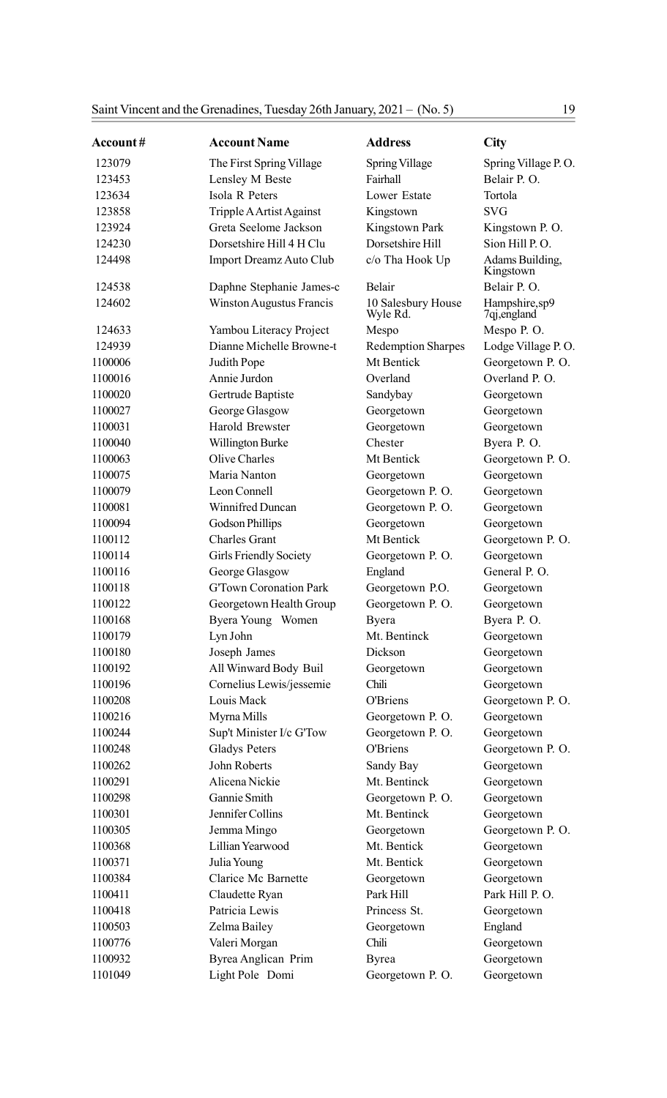| Account# | <b>Account Name</b>           | <b>Address</b>                 | City                          |
|----------|-------------------------------|--------------------------------|-------------------------------|
| 123079   | The First Spring Village      | Spring Village                 | Spring Village P.O.           |
| 123453   | Lensley M Beste               | Fairhall                       | Belair P.O.                   |
| 123634   | Isola R Peters                | Lower Estate                   | Tortola                       |
| 123858   | Tripple A Artist Against      | Kingstown                      | <b>SVG</b>                    |
| 123924   | Greta Seelome Jackson         | Kingstown Park                 | Kingstown P.O.                |
| 124230   | Dorsetshire Hill 4 H Clu      | Dorsetshire Hill               | Sion Hill P.O.                |
| 124498   | Import Dreamz Auto Club       | c/o Tha Hook Up                | Adams Building,<br>Kingstown  |
| 124538   | Daphne Stephanie James-c      | Belair                         | Belair P.O.                   |
| 124602   | Winston Augustus Francis      | 10 Salesbury House<br>Wyle Rd. | Hampshire,sp9<br>7qj, england |
| 124633   | Yambou Literacy Project       | Mespo                          | Mespo P.O.                    |
| 124939   | Dianne Michelle Browne-t      | <b>Redemption Sharpes</b>      | Lodge Village P.O.            |
| 1100006  | Judith Pope                   | Mt Bentick                     | Georgetown P.O.               |
| 1100016  | Annie Jurdon                  | Overland                       | Overland P.O.                 |
| 1100020  | Gertrude Baptiste             | Sandybay                       | Georgetown                    |
| 1100027  | George Glasgow                | Georgetown                     | Georgetown                    |
| 1100031  | Harold Brewster               | Georgetown                     | Georgetown                    |
| 1100040  | Willington Burke              | Chester                        | Byera P.O.                    |
| 1100063  | Olive Charles                 | Mt Bentick                     | Georgetown P.O.               |
| 1100075  | Maria Nanton                  | Georgetown                     | Georgetown                    |
| 1100079  | Leon Connell                  | Georgetown P.O.                | Georgetown                    |
| 1100081  | Winnifred Duncan              | Georgetown P.O.                | Georgetown                    |
| 1100094  | <b>Godson Phillips</b>        | Georgetown                     | Georgetown                    |
| 1100112  | <b>Charles Grant</b>          | Mt Bentick                     | Georgetown P.O.               |
| 1100114  | <b>Girls Friendly Society</b> | Georgetown P.O.                | Georgetown                    |
| 1100116  | George Glasgow                | England                        | General P.O.                  |
| 1100118  | <b>G'Town Coronation Park</b> | Georgetown P.O.                | Georgetown                    |
| 1100122  | Georgetown Health Group       | Georgetown P.O.                | Georgetown                    |
| 1100168  | Byera Young Women             | Byera                          | Byera P. O.                   |
| 1100179  | Lyn John                      | Mt. Bentinck                   | Georgetown                    |
| 1100180  | Joseph James                  | Dickson                        | Georgetown                    |
| 1100192  | All Winward Body Buil         | Georgetown                     | Georgetown                    |
| 1100196  | Cornelius Lewis/jessemie      | Chili                          | Georgetown                    |
| 1100208  | Louis Mack                    | O'Briens                       | Georgetown P.O.               |
| 1100216  | Myrna Mills                   | Georgetown P.O.                | Georgetown                    |
| 1100244  | Sup't Minister I/c G'Tow      | Georgetown P.O.                | Georgetown                    |
| 1100248  | <b>Gladys Peters</b>          | <b>O'Briens</b>                | Georgetown P.O.               |
| 1100262  | John Roberts                  | Sandy Bay                      | Georgetown                    |
| 1100291  | Alicena Nickie                | Mt. Bentinck                   | Georgetown                    |
| 1100298  | Gannie Smith                  | Georgetown P.O.                | Georgetown                    |
| 1100301  | Jennifer Collins              | Mt. Bentinck                   | Georgetown                    |
| 1100305  | Jemma Mingo                   | Georgetown                     | Georgetown P.O.               |
| 1100368  | Lillian Yearwood              | Mt. Bentick                    | Georgetown                    |
| 1100371  | Julia Young                   | Mt. Bentick                    | Georgetown                    |
| 1100384  | Clarice Mc Barnette           | Georgetown                     | Georgetown                    |
| 1100411  | Claudette Ryan                | Park Hill                      | Park Hill P.O.                |
| 1100418  | Patricia Lewis                | Princess St.                   | Georgetown                    |
| 1100503  | Zelma Bailey                  | Georgetown                     | England                       |
| 1100776  | Valeri Morgan                 | Chili                          | Georgetown                    |
| 1100932  | Byrea Anglican Prim           | <b>Byrea</b>                   | Georgetown                    |
| 1101049  | Light Pole Domi               | Georgetown P.O.                | Georgetown                    |
|          |                               |                                |                               |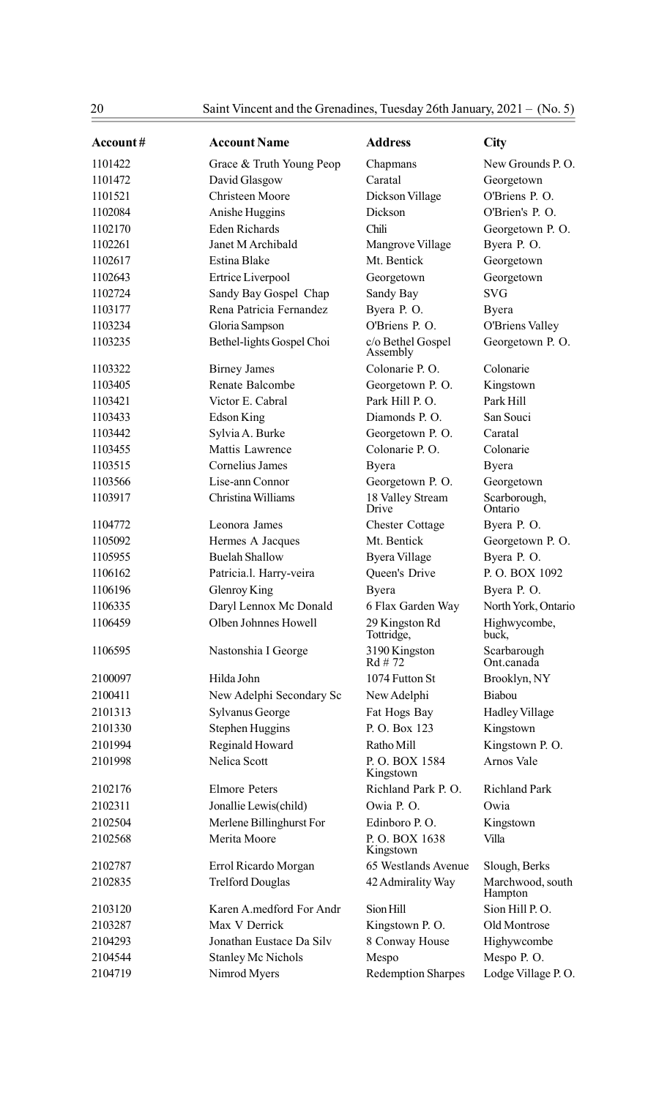| Account# | <b>Account Name</b>       | <b>Address</b>                | City                        |
|----------|---------------------------|-------------------------------|-----------------------------|
| 1101422  | Grace & Truth Young Peop  | Chapmans                      | New Grounds P.O.            |
| 1101472  | David Glasgow             | Caratal                       | Georgetown                  |
| 1101521  | <b>Christeen Moore</b>    | Dickson Village               | O'Briens P. O.              |
| 1102084  | Anishe Huggins            | Dickson                       | O'Brien's P.O.              |
| 1102170  | <b>Eden Richards</b>      | Chili                         | Georgetown P.O.             |
| 1102261  | Janet M Archibald         | Mangrove Village              | Byera P.O.                  |
| 1102617  | Estina Blake              | Mt. Bentick                   | Georgetown                  |
| 1102643  | Ertrice Liverpool         | Georgetown                    | Georgetown                  |
| 1102724  | Sandy Bay Gospel Chap     | Sandy Bay                     | <b>SVG</b>                  |
| 1103177  | Rena Patricia Fernandez   | Byera P.O.                    | Byera                       |
| 1103234  | Gloria Sampson            | O'Briens P. O.                | <b>O'Briens Valley</b>      |
| 1103235  | Bethel-lights Gospel Choi | c/o Bethel Gospel<br>Assembly | Georgetown P.O.             |
| 1103322  | <b>Birney James</b>       | Colonarie P.O.                | Colonarie                   |
| 1103405  | Renate Balcombe           | Georgetown P.O.               | Kingstown                   |
| 1103421  | Victor E. Cabral          | Park Hill P.O.                | Park Hill                   |
| 1103433  | Edson King                | Diamonds P.O.                 | San Souci                   |
| 1103442  | Sylvia A. Burke           | Georgetown P.O.               | Caratal                     |
| 1103455  | Mattis Lawrence           | Colonarie P.O.                | Colonarie                   |
| 1103515  | Cornelius James           | Byera                         | Byera                       |
| 1103566  | Lise-ann Connor           | Georgetown P.O.               | Georgetown                  |
| 1103917  | Christina Williams        | 18 Valley Stream<br>Drive     | Scarborough,<br>Ontario     |
| 1104772  | Leonora James             | <b>Chester Cottage</b>        | Byera P.O.                  |
| 1105092  | Hermes A Jacques          | Mt. Bentick                   | Georgetown P.O.             |
| 1105955  | <b>Buelah Shallow</b>     | Byera Village                 | Byera P.O.                  |
| 1106162  | Patricia.l. Harry-veira   | Queen's Drive                 | P.O. BOX 1092               |
| 1106196  | Glenroy King              | Byera                         | Byera P.O.                  |
| 1106335  | Daryl Lennox Mc Donald    | 6 Flax Garden Way             | North York, Ontario         |
| 1106459  | Olben Johnnes Howell      | 29 Kingston Rd<br>Tottridge,  | Highwycombe,<br>buck,       |
| 1106595  | Nastonshia I George       | 3190 Kingston<br>$Rd \# 72$   | Scarbarough<br>Ont.canada   |
| 2100097  | Hilda John                | 1074 Futton St                | Brooklyn, NY                |
| 2100411  | New Adelphi Secondary Sc  | New Adelphi                   | Biabou                      |
| 2101313  | Sylvanus George           | Fat Hogs Bay                  | <b>Hadley Village</b>       |
| 2101330  | Stephen Huggins           | P.O. Box 123                  | Kingstown                   |
| 2101994  | Reginald Howard           | Ratho Mill                    | Kingstown P.O.              |
| 2101998  | Nelica Scott              | P.O. BOX 1584<br>Kingstown    | Arnos Vale                  |
| 2102176  | <b>Elmore Peters</b>      | Richland Park P. O.           | <b>Richland Park</b>        |
| 2102311  | Jonallie Lewis(child)     | Owia P.O.                     | Owia                        |
| 2102504  | Merlene Billinghurst For  | Edinboro P.O.                 | Kingstown                   |
| 2102568  | Merita Moore              | P.O. BOX 1638<br>Kingstown    | Villa                       |
| 2102787  | Errol Ricardo Morgan      | 65 Westlands Avenue           | Slough, Berks               |
| 2102835  | <b>Trelford Douglas</b>   | 42 Admirality Way             | Marchwood, south<br>Hampton |
| 2103120  | Karen A.medford For Andr  | Sion Hill                     | Sion Hill P.O.              |
| 2103287  | Max V Derrick             | Kingstown P.O.                | Old Montrose                |
| 2104293  | Jonathan Eustace Da Silv  | 8 Conway House                | Highywcombe                 |
| 2104544  | <b>Stanley Mc Nichols</b> | Mespo                         | Mespo P.O.                  |
| 2104719  | Nimrod Myers              | <b>Redemption Sharpes</b>     | Lodge Village P.O.          |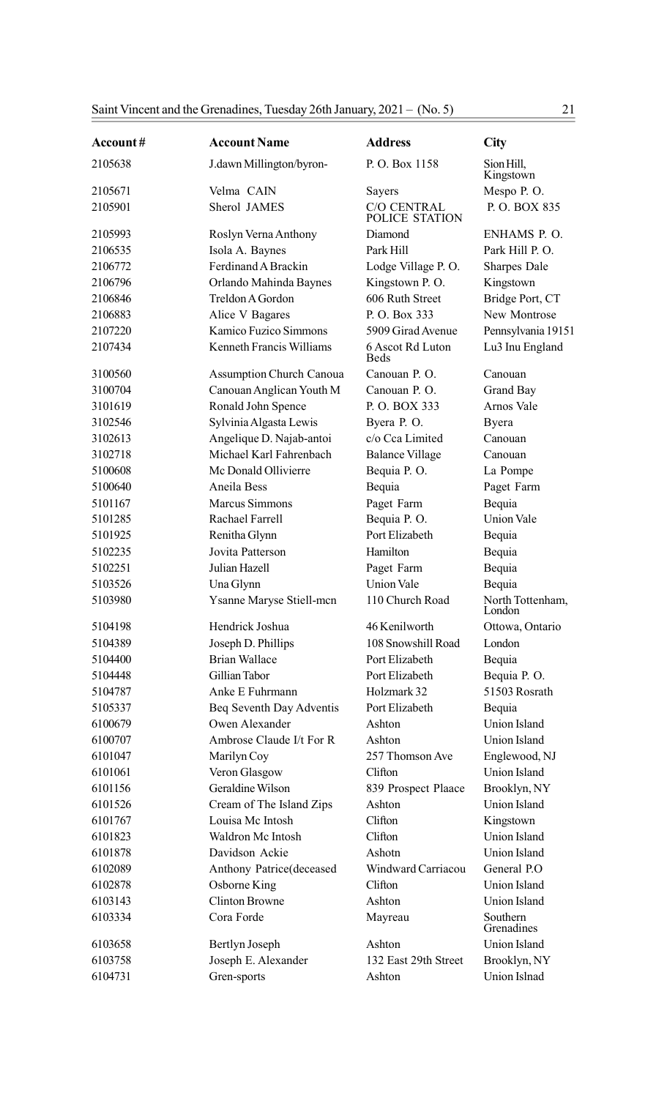| Account# | <b>Account Name</b>             | <b>Address</b>                       | City                       |
|----------|---------------------------------|--------------------------------------|----------------------------|
| 2105638  | J.dawn Millington/byron-        | P.O. Box 1158                        | Sion Hill,<br>Kingstown    |
| 2105671  | Velma CAIN                      | Sayers                               | Mespo P.O.                 |
| 2105901  | Sherol JAMES                    | <b>C/O CENTRAL</b><br>POLICE STATION | P.O. BOX 835               |
| 2105993  | Roslyn Verna Anthony            | Diamond                              | ENHAMS P.O.                |
| 2106535  | Isola A. Baynes                 | Park Hill                            | Park Hill P.O.             |
| 2106772  | Ferdinand A Brackin             | Lodge Village P.O.                   | <b>Sharpes Dale</b>        |
| 2106796  | Orlando Mahinda Baynes          | Kingstown P.O.                       | Kingstown                  |
| 2106846  | Treldon A Gordon                | 606 Ruth Street                      | Bridge Port, CT            |
| 2106883  | Alice V Bagares                 | P. O. Box 333                        | New Montrose               |
| 2107220  | Kamico Fuzico Simmons           | 5909 Girad Avenue                    | Pennsylvania 19151         |
| 2107434  | <b>Kenneth Francis Williams</b> | 6 Ascot Rd Luton<br><b>Beds</b>      | Lu3 Inu England            |
| 3100560  | <b>Assumption Church Canoua</b> | Canouan P. O.                        | Canouan                    |
| 3100704  | Canouan Anglican Youth M        | Canouan P.O.                         | Grand Bay                  |
| 3101619  | Ronald John Spence              | P. O. BOX 333                        | Arnos Vale                 |
| 3102546  | Sylvinia Algasta Lewis          | Byera P.O.                           | Byera                      |
| 3102613  | Angelique D. Najab-antoi        | c/o Cca Limited                      | Canouan                    |
| 3102718  | Michael Karl Fahrenbach         | <b>Balance Village</b>               | Canouan                    |
| 5100608  | Mc Donald Ollivierre            | Bequia P.O.                          | La Pompe                   |
| 5100640  | Aneila Bess                     | Bequia                               | Paget Farm                 |
| 5101167  | Marcus Simmons                  | Paget Farm                           | Bequia                     |
| 5101285  | Rachael Farrell                 | Bequia P.O.                          | Union Vale                 |
| 5101925  | Renitha Glynn                   | Port Elizabeth                       | Bequia                     |
| 5102235  | Jovita Patterson                | Hamilton                             | Bequia                     |
| 5102251  | Julian Hazell                   | Paget Farm                           | Bequia                     |
| 5103526  | Una Glynn                       | <b>Union Vale</b>                    | Bequia                     |
| 5103980  | Ysanne Maryse Stiell-mcn        | 110 Church Road                      | North Tottenham,<br>London |
| 5104198  | Hendrick Joshua                 | 46 Kenilworth                        | Ottowa, Ontario            |
| 5104389  | Joseph D. Phillips              | 108 Snowshill Road                   | London                     |
| 5104400  | <b>Brian Wallace</b>            | Port Elizabeth                       | Bequia                     |
| 5104448  | Gillian Tabor                   | Port Elizabeth                       | Bequia P.O.                |
| 5104787  | Anke E Fuhrmann                 | Holzmark 32                          | 51503 Rosrath              |
| 5105337  | Beq Seventh Day Adventis        | Port Elizabeth                       | Bequia                     |
| 6100679  | Owen Alexander                  | Ashton                               | Union Island               |
| 6100707  | Ambrose Claude I/t For R        | Ashton                               | Union Island               |
| 6101047  | Marilyn Coy                     | 257 Thomson Ave                      | Englewood, NJ              |
| 6101061  | Veron Glasgow                   | Clifton                              | Union Island               |
| 6101156  | Geraldine Wilson                | 839 Prospect Plaace                  | Brooklyn, NY               |
| 6101526  | Cream of The Island Zips        | Ashton                               | <b>Union Island</b>        |
| 6101767  | Louisa Mc Intosh                | Clifton                              | Kingstown                  |
| 6101823  | Waldron Mc Intosh               | Clifton                              | Union Island               |
| 6101878  | Davidson Ackie                  | Ashotn                               | Union Island               |
| 6102089  | Anthony Patrice(deceased        | Windward Carriacou                   | General P.O.               |
| 6102878  | Osborne King                    | Clifton                              | Union Island               |
| 6103143  | <b>Clinton Browne</b>           | Ashton                               | Union Island               |
| 6103334  | Cora Forde                      | Mayreau                              | Southern<br>Grenadines     |
| 6103658  | Bertlyn Joseph                  | Ashton                               | Union Island               |
| 6103758  | Joseph E. Alexander             | 132 East 29th Street                 | Brooklyn, NY               |
| 6104731  | Gren-sports                     | Ashton                               | Union Islnad               |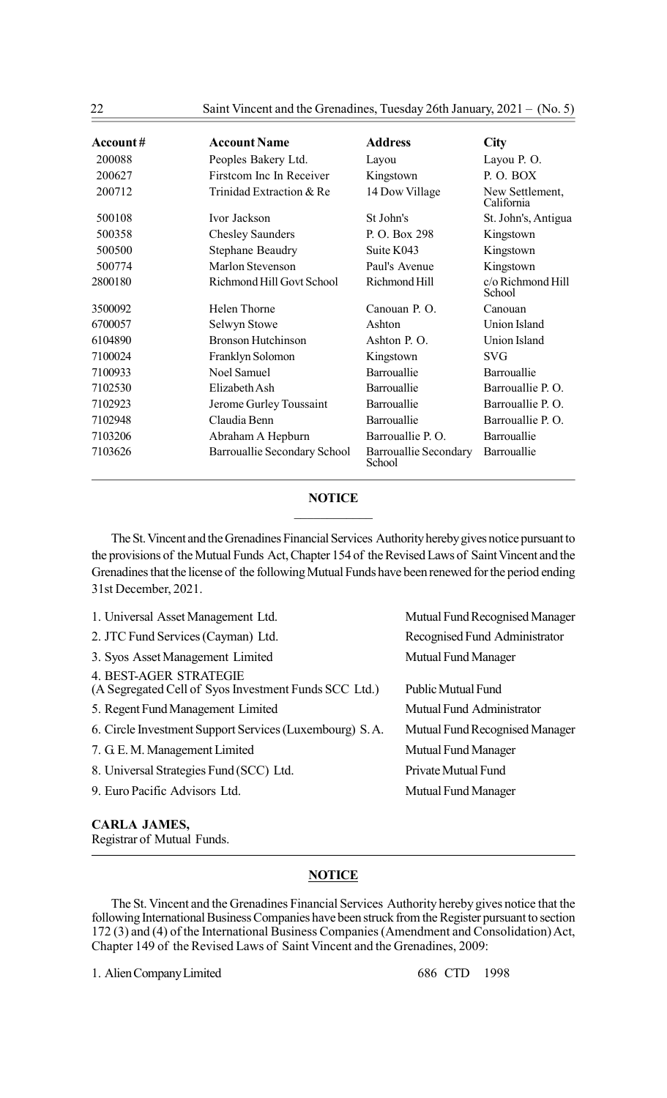22 Saint Vincent and the Grenadines, Tuesday 26th January, 2021 – (No. 5)

| Account $#$ | <b>Account Name</b>          | <b>Address</b>                  | City                          |
|-------------|------------------------------|---------------------------------|-------------------------------|
| 200088      | Peoples Bakery Ltd.          | Layou                           | Layou P. O.                   |
| 200627      | Firstcom Inc In Receiver     | Kingstown                       | P.O. BOX                      |
| 200712      | Trinidad Extraction & Re     | 14 Dow Village                  | New Settlement,<br>California |
| 500108      | Ivor Jackson                 | St John's                       | St. John's, Antigua           |
| 500358      | <b>Chesley Saunders</b>      | P.O. Box 298                    | Kingstown                     |
| 500500      | <b>Stephane Beaudry</b>      | Suite K043                      | Kingstown                     |
| 500774      | Marlon Stevenson             | Paul's Avenue                   | Kingstown                     |
| 2800180     | Richmond Hill Govt School    | Richmond Hill                   | c/o Richmond Hill<br>School   |
| 3500092     | Helen Thorne                 | Canouan P. O.                   | Canouan                       |
| 6700057     | Selwyn Stowe                 | Ashton                          | Union Island                  |
| 6104890     | <b>Bronson Hutchinson</b>    | Ashton P.O.                     | Union Island                  |
| 7100024     | Franklyn Solomon             | Kingstown                       | <b>SVG</b>                    |
| 7100933     | Noel Samuel                  | Barrouallie                     | Barrouallie                   |
| 7102530     | Elizabeth Ash                | Barrouallie                     | Barrouallie P.O.              |
| 7102923     | Jerome Gurley Toussaint      | Barrouallie                     | Barrouallie P.O.              |
| 7102948     | Claudia Benn                 | Barrouallie                     | Barrouallie P.O.              |
| 7103206     | Abraham A Hepburn            | Barrouallie P.O.                | Barrouallie                   |
| 7103626     | Barrouallie Secondary School | Barrouallie Secondary<br>School | Barrouallie                   |

#### **NOTICE**  $\mathcal{L}_\text{max}$

The St. Vincent and the Grenadines Financial Services Authority hereby gives notice pursuant to the provisions of the Mutual Funds Act, Chapter 154 of the Revised Laws of Saint Vincent and the Grenadines that the license of the following Mutual Funds have been renewed for the period ending 31st December, 2021.

| 1. Universal Asset Management Ltd.                                              | Mutual Fund Recognised Manager |
|---------------------------------------------------------------------------------|--------------------------------|
| 2. JTC Fund Services (Cayman) Ltd.                                              | Recognised Fund Administrator  |
| 3. Syos Asset Management Limited                                                | <b>Mutual Fund Manager</b>     |
| 4. BEST-AGER STRATEGIE<br>(A Segregated Cell of Syos Investment Funds SCC Ltd.) | <b>Public Mutual Fund</b>      |
| 5. Regent Fund Management Limited                                               | Mutual Fund Administrator      |
| 6. Circle Investment Support Services (Luxembourg) S.A.                         | Mutual Fund Recognised Manager |
| 7. G.E.M. Management Limited                                                    | <b>Mutual Fund Manager</b>     |
| 8. Universal Strategies Fund (SCC) Ltd.                                         | Private Mutual Fund            |
| 9. Euro Pacific Advisors Ltd.                                                   | <b>Mutual Fund Manager</b>     |
|                                                                                 |                                |

# CARLA JAMES,

Registrar of Mutual Funds.

### **NOTICE**

The St. Vincent and the Grenadines Financial Services Authority hereby gives notice that the following International Business Companies have been struck from the Register pursuant to section 172 (3) and (4) of the International Business Companies (Amendment and Consolidation) Act, Chapter 149 of the Revised Laws of Saint Vincent and the Grenadines, 2009:

1. Alien Company Limited 686 CTD 1998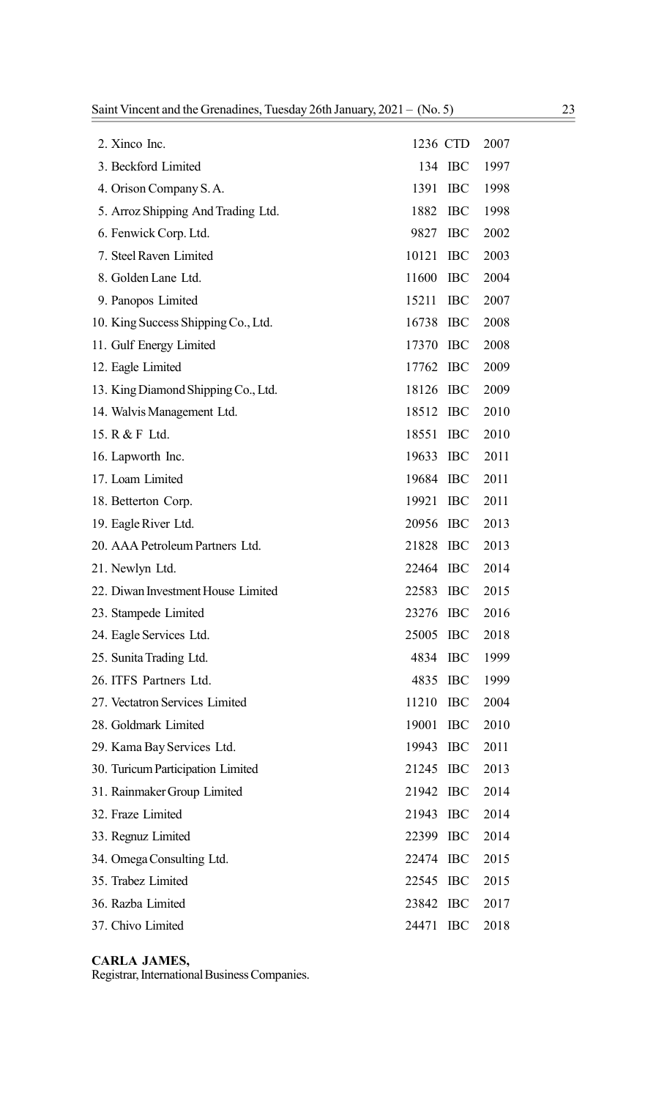|       |            | 2007                                                                                                                                                                                                                                                                                                           |
|-------|------------|----------------------------------------------------------------------------------------------------------------------------------------------------------------------------------------------------------------------------------------------------------------------------------------------------------------|
| 134   |            | 1997                                                                                                                                                                                                                                                                                                           |
| 1391  | <b>IBC</b> | 1998                                                                                                                                                                                                                                                                                                           |
| 1882  | <b>IBC</b> | 1998                                                                                                                                                                                                                                                                                                           |
| 9827  |            | 2002                                                                                                                                                                                                                                                                                                           |
| 10121 | <b>IBC</b> | 2003                                                                                                                                                                                                                                                                                                           |
| 11600 |            | 2004                                                                                                                                                                                                                                                                                                           |
| 15211 |            | 2007                                                                                                                                                                                                                                                                                                           |
| 16738 |            | 2008                                                                                                                                                                                                                                                                                                           |
| 17370 | <b>IBC</b> | 2008                                                                                                                                                                                                                                                                                                           |
|       |            | 2009                                                                                                                                                                                                                                                                                                           |
|       |            | 2009                                                                                                                                                                                                                                                                                                           |
|       |            | 2010                                                                                                                                                                                                                                                                                                           |
| 18551 |            | 2010                                                                                                                                                                                                                                                                                                           |
|       |            | 2011                                                                                                                                                                                                                                                                                                           |
|       |            | 2011                                                                                                                                                                                                                                                                                                           |
| 19921 | <b>IBC</b> | 2011                                                                                                                                                                                                                                                                                                           |
|       |            | 2013                                                                                                                                                                                                                                                                                                           |
|       |            | 2013                                                                                                                                                                                                                                                                                                           |
|       |            | 2014                                                                                                                                                                                                                                                                                                           |
| 22583 |            | 2015                                                                                                                                                                                                                                                                                                           |
|       |            | 2016                                                                                                                                                                                                                                                                                                           |
| 25005 | <b>IBC</b> | 2018                                                                                                                                                                                                                                                                                                           |
| 4834  | <b>IBC</b> | 1999                                                                                                                                                                                                                                                                                                           |
| 4835  | <b>IBC</b> | 1999                                                                                                                                                                                                                                                                                                           |
| 11210 | <b>IBC</b> | 2004                                                                                                                                                                                                                                                                                                           |
| 19001 | <b>IBC</b> | 2010                                                                                                                                                                                                                                                                                                           |
| 19943 | <b>IBC</b> | 2011                                                                                                                                                                                                                                                                                                           |
| 21245 |            | 2013                                                                                                                                                                                                                                                                                                           |
|       |            | 2014                                                                                                                                                                                                                                                                                                           |
| 21943 |            | 2014                                                                                                                                                                                                                                                                                                           |
| 22399 | <b>IBC</b> | 2014                                                                                                                                                                                                                                                                                                           |
| 22474 |            | 2015                                                                                                                                                                                                                                                                                                           |
| 22545 |            | 2015                                                                                                                                                                                                                                                                                                           |
| 23842 |            | 2017                                                                                                                                                                                                                                                                                                           |
| 24471 | <b>IBC</b> | 2018                                                                                                                                                                                                                                                                                                           |
|       |            | 1236 CTD<br><b>IBC</b><br><b>IBC</b><br>$\Gamma$<br><b>IBC</b><br><b>IBC</b><br>17762 IBC<br>18126 IBC<br>18512 IBC<br><b>IBC</b><br>19633 IBC<br>19684 IBC<br>20956 IBC<br>21828 IBC<br>22464 IBC<br>$\rm{IBC}$<br>23276 IBC<br><b>IBC</b><br>21942 IBC<br><b>IBC</b><br><b>IBC</b><br>$\Gamma$<br><b>IBC</b> |

# CARLA JAMES,

Registrar, International Business Companies.